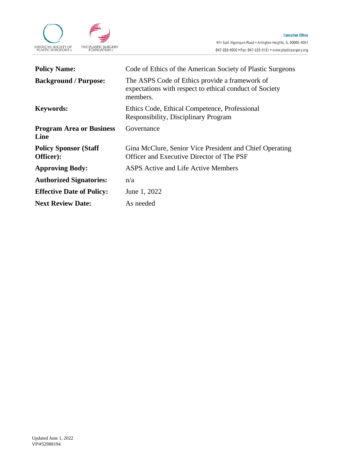

| <b>Policy Name:</b>                        | Code of Ethics of the American Society of Plastic Surgeons                                                            |
|--------------------------------------------|-----------------------------------------------------------------------------------------------------------------------|
| <b>Background / Purpose:</b>               | The ASPS Code of Ethics provide a framework of<br>expectations with respect to ethical conduct of Society<br>members. |
| <b>Keywords:</b>                           | Ethics Code, Ethical Competence, Professional<br>Responsibility, Disciplinary Program                                 |
| <b>Program Area or Business</b><br>Line    | Governance                                                                                                            |
| <b>Policy Sponsor (Staff)</b><br>Officer): | Gina McClure, Senior Vice President and Chief Operating<br>Officer and Executive Director of The PSF                  |
| <b>Approving Body:</b>                     | ASPS Active and Life Active Members                                                                                   |
| <b>Authorized Signatories:</b>             | n/a                                                                                                                   |
| <b>Effective Date of Policy:</b>           | June 1, 2022                                                                                                          |
| <b>Next Review Date:</b>                   | As needed                                                                                                             |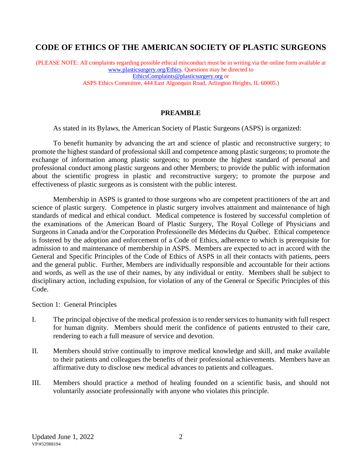# **CODE OF ETHICS OF THE AMERICAN SOCIETY OF PLASTIC SURGEONS**

(PLEASE NOTE: All complaints regarding possible ethical misconduct must be in writing via the online form available at [www.plasticsurgery.org/Ethics.](http://www.plasticsurgery.org/Ethics) Questions may be directed to [EthicsComplaints@plasticsurgery.org](mailto:EthicsComplaints@plasticsurgery.org) or ASPS Ethics Committee, 444 East Algonquin Road, Arlington Heights, IL 60005.)

## **PREAMBLE**

As stated in its Bylaws, the American Society of Plastic Surgeons (ASPS) is organized:

To benefit humanity by advancing the art and science of plastic and reconstructive surgery; to promote the highest standard of professional skill and competence among plastic surgeons; to promote the exchange of information among plastic surgeons; to promote the highest standard of personal and professional conduct among plastic surgeons and other Members; to provide the public with information about the scientific progress in plastic and reconstructive surgery; to promote the purpose and effectiveness of plastic surgeons as is consistent with the public interest.

Membership in ASPS is granted to those surgeons who are competent practitioners of the art and science of plastic surgery. Competence in plastic surgery involves attainment and maintenance of high standards of medical and ethical conduct. Medical competence is fostered by successful completion of the examinations of the American Board of Plastic Surgery, The Royal College of Physicians and Surgeons in Canada and/or the Corporation Professionelle des Médecins du Québec. Ethical competence is fostered by the adoption and enforcement of a Code of Ethics, adherence to which is prerequisite for admission to and maintenance of membership in ASPS. Members are expected to act in accord with the General and Specific Principles of the Code of Ethics of ASPS in all their contacts with patients, peers and the general public. Further, Members are individually responsible and accountable for their actions and words, as well as the use of their names, by any individual or entity. Members shall be subject to disciplinary action, including expulsion, for violation of any of the General or Specific Principles of this Code.

Section 1: General Principles

- I. The principal objective of the medical profession is to render services to humanity with full respect for human dignity. Members should merit the confidence of patients entrusted to their care, rendering to each a full measure of service and devotion.
- II. Members should strive continually to improve medical knowledge and skill, and make available to their patients and colleagues the benefits of their professional achievements. Members have an affirmative duty to disclose new medical advances to patients and colleagues.
- III. Members should practice a method of healing founded on a scientific basis, and should not voluntarily associate professionally with anyone who violates this principle.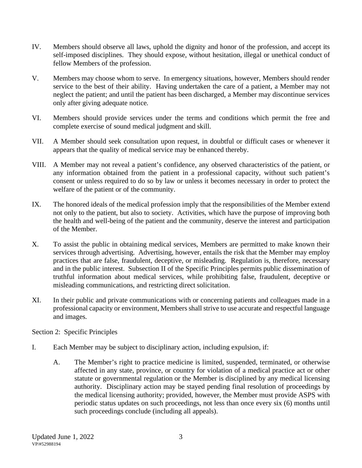- IV. Members should observe all laws, uphold the dignity and honor of the profession, and accept its self-imposed disciplines. They should expose, without hesitation, illegal or unethical conduct of fellow Members of the profession.
- V. Members may choose whom to serve. In emergency situations, however, Members should render service to the best of their ability. Having undertaken the care of a patient, a Member may not neglect the patient; and until the patient has been discharged, a Member may discontinue services only after giving adequate notice.
- VI. Members should provide services under the terms and conditions which permit the free and complete exercise of sound medical judgment and skill.
- VII. A Member should seek consultation upon request, in doubtful or difficult cases or whenever it appears that the quality of medical service may be enhanced thereby.
- VIII. A Member may not reveal a patient's confidence, any observed characteristics of the patient, or any information obtained from the patient in a professional capacity, without such patient's consent or unless required to do so by law or unless it becomes necessary in order to protect the welfare of the patient or of the community.
- IX. The honored ideals of the medical profession imply that the responsibilities of the Member extend not only to the patient, but also to society. Activities, which have the purpose of improving both the health and well-being of the patient and the community, deserve the interest and participation of the Member.
- X. To assist the public in obtaining medical services, Members are permitted to make known their services through advertising. Advertising, however, entails the risk that the Member may employ practices that are false, fraudulent, deceptive, or misleading. Regulation is, therefore, necessary and in the public interest. Subsection II of the Specific Principles permits public dissemination of truthful information about medical services, while prohibiting false, fraudulent, deceptive or misleading communications, and restricting direct solicitation.
- XI. In their public and private communications with or concerning patients and colleagues made in a professional capacity or environment, Members shall strive to use accurate and respectful language and images.

Section 2: Specific Principles

- I. Each Member may be subject to disciplinary action, including expulsion, if:
	- A. The Member's right to practice medicine is limited, suspended, terminated, or otherwise affected in any state, province, or country for violation of a medical practice act or other statute or governmental regulation or the Member is disciplined by any medical licensing authority. Disciplinary action may be stayed pending final resolution of proceedings by the medical licensing authority; provided, however, the Member must provide ASPS with periodic status updates on such proceedings, not less than once every six (6) months until such proceedings conclude (including all appeals).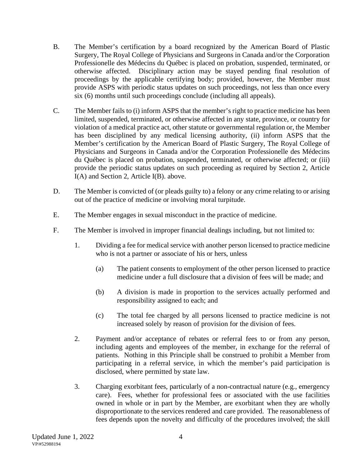- B. The Member's certification by a board recognized by the American Board of Plastic Surgery, The Royal College of Physicians and Surgeons in Canada and/or the Corporation Professionelle des Médecins du Québec is placed on probation, suspended, terminated, or otherwise affected. Disciplinary action may be stayed pending final resolution of proceedings by the applicable certifying body; provided, however, the Member must provide ASPS with periodic status updates on such proceedings, not less than once every six (6) months until such proceedings conclude (including all appeals).
- C. The Member fails to (i) inform ASPS that the member's right to practice medicine has been limited, suspended, terminated, or otherwise affected in any state, province, or country for violation of a medical practice act, other statute or governmental regulation or, the Member has been disciplined by any medical licensing authority, (ii) inform ASPS that the Member's certification by the American Board of Plastic Surgery, The Royal College of Physicians and Surgeons in Canada and/or the Corporation Professionelle des Médecins du Québec is placed on probation, suspended, terminated, or otherwise affected; or (iii) provide the periodic status updates on such proceeding as required by Section 2, Article I(A) and Section 2, Article I(B). above.
- D. The Member is convicted of (or pleads guilty to) a felony or any crime relating to or arising out of the practice of medicine or involving moral turpitude.
- E. The Member engages in sexual misconduct in the practice of medicine.
- F. The Member is involved in improper financial dealings including, but not limited to:
	- 1. Dividing a fee for medical service with another person licensed to practice medicine who is not a partner or associate of his or hers, unless
		- (a) The patient consents to employment of the other person licensed to practice medicine under a full disclosure that a division of fees will be made; and
		- (b) A division is made in proportion to the services actually performed and responsibility assigned to each; and
		- (c) The total fee charged by all persons licensed to practice medicine is not increased solely by reason of provision for the division of fees.
	- 2. Payment and/or acceptance of rebates or referral fees to or from any person, including agents and employees of the member, in exchange for the referral of patients. Nothing in this Principle shall be construed to prohibit a Member from participating in a referral service, in which the member's paid participation is disclosed, where permitted by state law.
	- 3. Charging exorbitant fees, particularly of a non-contractual nature (e.g., emergency care). Fees, whether for professional fees or associated with the use facilities owned in whole or in part by the Member, are exorbitant when they are wholly disproportionate to the services rendered and care provided. The reasonableness of fees depends upon the novelty and difficulty of the procedures involved; the skill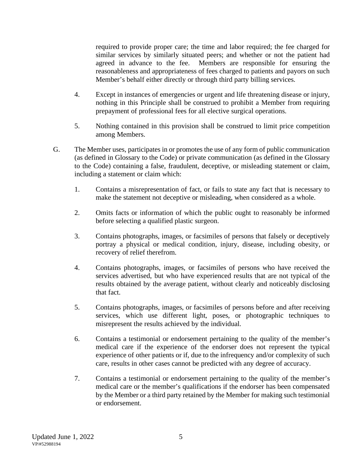required to provide proper care; the time and labor required; the fee charged for similar services by similarly situated peers; and whether or not the patient had agreed in advance to the fee. Members are responsible for ensuring the reasonableness and appropriateness of fees charged to patients and payors on such Member's behalf either directly or through third party billing services.

- 4. Except in instances of emergencies or urgent and life threatening disease or injury, nothing in this Principle shall be construed to prohibit a Member from requiring prepayment of professional fees for all elective surgical operations.
- 5. Nothing contained in this provision shall be construed to limit price competition among Members.
- G. The Member uses, participates in or promotes the use of any form of public communication (as defined in Glossary to the Code) or private communication (as defined in the Glossary to the Code) containing a false, fraudulent, deceptive, or misleading statement or claim, including a statement or claim which:
	- 1. Contains a misrepresentation of fact, or fails to state any fact that is necessary to make the statement not deceptive or misleading, when considered as a whole.
	- 2. Omits facts or information of which the public ought to reasonably be informed before selecting a qualified plastic surgeon.
	- 3. Contains photographs, images, or facsimiles of persons that falsely or deceptively portray a physical or medical condition, injury, disease, including obesity, or recovery of relief therefrom.
	- 4. Contains photographs, images, or facsimiles of persons who have received the services advertised, but who have experienced results that are not typical of the results obtained by the average patient, without clearly and noticeably disclosing that fact.
	- 5. Contains photographs, images, or facsimiles of persons before and after receiving services, which use different light, poses, or photographic techniques to misrepresent the results achieved by the individual.
	- 6. Contains a testimonial or endorsement pertaining to the quality of the member's medical care if the experience of the endorser does not represent the typical experience of other patients or if, due to the infrequency and/or complexity of such care, results in other cases cannot be predicted with any degree of accuracy.
	- 7. Contains a testimonial or endorsement pertaining to the quality of the member's medical care or the member's qualifications if the endorser has been compensated by the Member or a third party retained by the Member for making such testimonial or endorsement.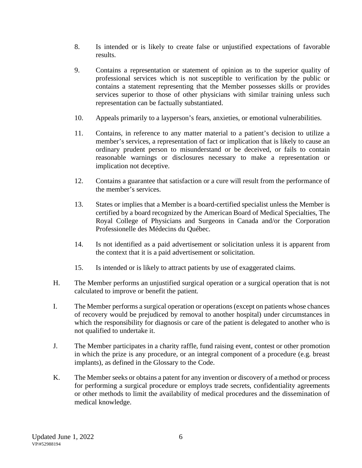- 8. Is intended or is likely to create false or unjustified expectations of favorable results.
- 9. Contains a representation or statement of opinion as to the superior quality of professional services which is not susceptible to verification by the public or contains a statement representing that the Member possesses skills or provides services superior to those of other physicians with similar training unless such representation can be factually substantiated.
- 10. Appeals primarily to a layperson's fears, anxieties, or emotional vulnerabilities.
- 11. Contains, in reference to any matter material to a patient's decision to utilize a member's services, a representation of fact or implication that is likely to cause an ordinary prudent person to misunderstand or be deceived, or fails to contain reasonable warnings or disclosures necessary to make a representation or implication not deceptive.
- 12. Contains a guarantee that satisfaction or a cure will result from the performance of the member's services.
- 13. States or implies that a Member is a board-certified specialist unless the Member is certified by a board recognized by the American Board of Medical Specialties, The Royal College of Physicians and Surgeons in Canada and/or the Corporation Professionelle des Médecins du Québec.
- 14. Is not identified as a paid advertisement or solicitation unless it is apparent from the context that it is a paid advertisement or solicitation.
- 15. Is intended or is likely to attract patients by use of exaggerated claims.
- H. The Member performs an unjustified surgical operation or a surgical operation that is not calculated to improve or benefit the patient.
- I. The Member performs a surgical operation or operations (except on patients whose chances of recovery would be prejudiced by removal to another hospital) under circumstances in which the responsibility for diagnosis or care of the patient is delegated to another who is not qualified to undertake it.
- J. The Member participates in a charity raffle, fund raising event, contest or other promotion in which the prize is any procedure, or an integral component of a procedure (e.g. breast implants), as defined in the Glossary to the Code.
- K. The Member seeks or obtains a patent for any invention or discovery of a method or process for performing a surgical procedure or employs trade secrets, confidentiality agreements or other methods to limit the availability of medical procedures and the dissemination of medical knowledge.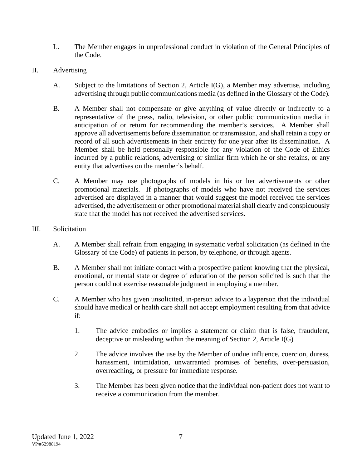- L. The Member engages in unprofessional conduct in violation of the General Principles of the Code.
- II. Advertising
	- A. Subject to the limitations of Section 2, Article I(G), a Member may advertise, including advertising through public communications media (as defined in the Glossary of the Code).
	- B. A Member shall not compensate or give anything of value directly or indirectly to a representative of the press, radio, television, or other public communication media in anticipation of or return for recommending the member's services. A Member shall approve all advertisements before dissemination or transmission, and shall retain a copy or record of all such advertisements in their entirety for one year after its dissemination. A Member shall be held personally responsible for any violation of the Code of Ethics incurred by a public relations, advertising or similar firm which he or she retains, or any entity that advertises on the member's behalf.
	- C. A Member may use photographs of models in his or her advertisements or other promotional materials. If photographs of models who have not received the services advertised are displayed in a manner that would suggest the model received the services advertised, the advertisement or other promotional material shall clearly and conspicuously state that the model has not received the advertised services.
- III. Solicitation
	- A. A Member shall refrain from engaging in systematic verbal solicitation (as defined in the Glossary of the Code) of patients in person, by telephone, or through agents.
	- B. A Member shall not initiate contact with a prospective patient knowing that the physical, emotional, or mental state or degree of education of the person solicited is such that the person could not exercise reasonable judgment in employing a member.
	- C. A Member who has given unsolicited, in-person advice to a layperson that the individual should have medical or health care shall not accept employment resulting from that advice if:
		- 1. The advice embodies or implies a statement or claim that is false, fraudulent, deceptive or misleading within the meaning of Section 2, Article I(G)
		- 2. The advice involves the use by the Member of undue influence, coercion, duress, harassment, intimidation, unwarranted promises of benefits, over-persuasion, overreaching, or pressure for immediate response.
		- 3. The Member has been given notice that the individual non-patient does not want to receive a communication from the member.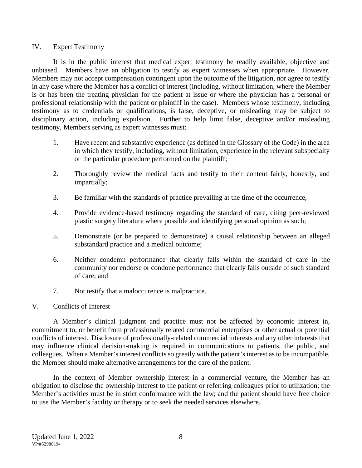## IV. Expert Testimony

It is in the public interest that medical expert testimony be readily available, objective and unbiased. Members have an obligation to testify as expert witnesses when appropriate. However, Members may not accept compensation contingent upon the outcome of the litigation, nor agree to testify in any case where the Member has a conflict of interest (including, without limitation, where the Member is or has been the treating physician for the patient at issue or where the physician has a personal or professional relationship with the patient or plaintiff in the case). Members whose testimony, including testimony as to credentials or qualifications, is false, deceptive, or misleading may be subject to disciplinary action, including expulsion. Further to help limit false, deceptive and/or misleading testimony, Members serving as expert witnesses must:

- 1. Have recent and substantive experience (as defined in the Glossary of the Code) in the area in which they testify, including, without limitation, experience in the relevant subspecialty or the particular procedure performed on the plaintiff;
- 2. Thoroughly review the medical facts and testify to their content fairly, honestly, and impartially;
- 3. Be familiar with the standards of practice prevailing at the time of the occurrence,
- 4. Provide evidence-based testimony regarding the standard of care, citing peer-reviewed plastic surgery literature where possible and identifying personal opinion as such;
- 5. Demonstrate (or be prepared to demonstrate) a causal relationship between an alleged substandard practice and a medical outcome;
- 6. Neither condemn performance that clearly falls within the standard of care in the community nor endorse or condone performance that clearly falls outside of such standard of care; and
- 7. Not testify that a maloccurence is malpractice.
- V. Conflicts of Interest

A Member's clinical judgment and practice must not be affected by economic interest in, commitment to, or benefit from professionally related commercial enterprises or other actual or potential conflicts of interest. Disclosure of professionally-related commercial interests and any other interests that may influence clinical decision-making is required in communications to patients, the public, and colleagues. When a Member's interest conflicts so greatly with the patient's interest as to be incompatible, the Member should make alternative arrangements for the care of the patient.

In the context of Member ownership interest in a commercial venture, the Member has an obligation to disclose the ownership interest to the patient or referring colleagues prior to utilization; the Member's activities must be in strict conformance with the law; and the patient should have free choice to use the Member's facility or therapy or to seek the needed services elsewhere.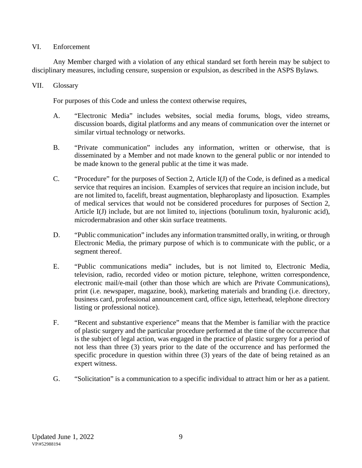# VI. Enforcement

Any Member charged with a violation of any ethical standard set forth herein may be subject to disciplinary measures, including censure, suspension or expulsion, as described in the ASPS Bylaws.

# VII. Glossary

For purposes of this Code and unless the context otherwise requires,

- A. "Electronic Media" includes websites, social media forums, blogs, video streams, discussion boards, digital platforms and any means of communication over the internet or similar virtual technology or networks.
- B. "Private communication" includes any information, written or otherwise, that is disseminated by a Member and not made known to the general public or nor intended to be made known to the general public at the time it was made.
- C. "Procedure" for the purposes of Section 2, Article I(J) of the Code, is defined as a medical service that requires an incision. Examples of services that require an incision include, but are not limited to, facelift, breast augmentation, blepharoplasty and liposuction. Examples of medical services that would not be considered procedures for purposes of Section 2, Article I(J) include, but are not limited to, injections (botulinum toxin, hyaluronic acid), microdermabrasion and other skin surface treatments.
- D. "Public communication" includes any information transmitted orally, in writing, or through Electronic Media, the primary purpose of which is to communicate with the public, or a segment thereof.
- E. "Public communications media" includes, but is not limited to, Electronic Media, television, radio, recorded video or motion picture, telephone, written correspondence, electronic mail/e-mail (other than those which are which are Private Communications), print (i.e. newspaper, magazine, book), marketing materials and branding (i.e. directory, business card, professional announcement card, office sign, letterhead, telephone directory listing or professional notice).
- F. "Recent and substantive experience" means that the Member is familiar with the practice of plastic surgery and the particular procedure performed at the time of the occurrence that is the subject of legal action, was engaged in the practice of plastic surgery for a period of not less than three (3) years prior to the date of the occurrence and has performed the specific procedure in question within three (3) years of the date of being retained as an expert witness.
- G. "Solicitation" is a communication to a specific individual to attract him or her as a patient.